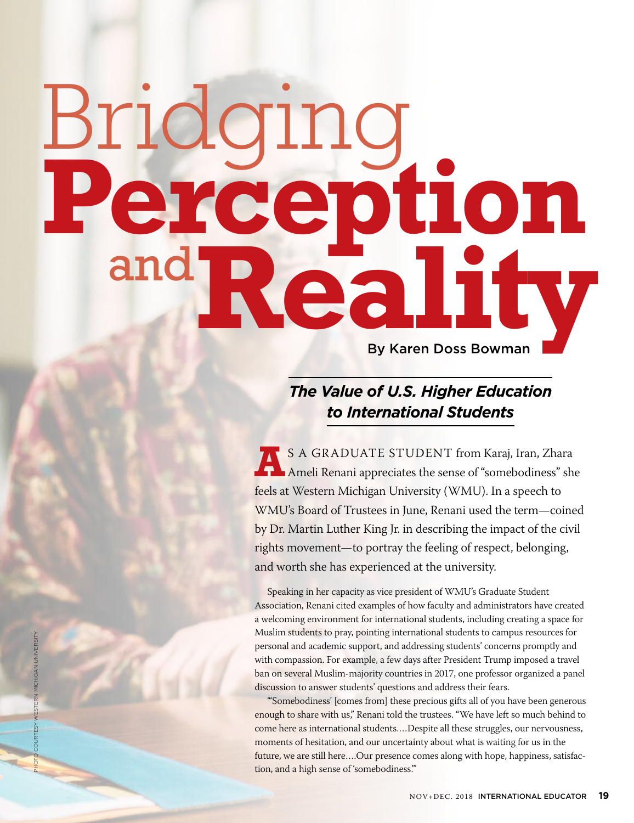# and Reality Bridging **Perception** and

# *The Value of U.S. Higher Education to International Students*

**ANDIATE STUDENT from Karaj, Iran, Zhara** Ameli Renani appreciates the sense of "somebodiness" she feels at Western Michigan University (WMU). In a speech to WMU's Board of Trustees in June, Renani used the term—coined by Dr. Martin Luther King Jr. in describing the impact of the civil rights movement—to portray the feeling of respect, belonging, and worth she has experienced at the university.

Speaking in her capacity as vice president of WMU's Graduate Student Association, Renani cited examples of how faculty and administrators have created a welcoming environment for international students, including creating a space for Muslim students to pray, pointing international students to campus resources for personal and academic support, and addressing students' concerns promptly and with compassion. For example, a few days after President Trump imposed a travel ban on several Muslim-majority countries in 2017, one professor organized a panel discussion to answer students' questions and address their fears.

"'Somebodiness' [comes from] these precious gifts all of you have been generous enough to share with us," Renani told the trustees. "We have left so much behind to come here as international students.…Despite all these struggles, our nervousness, moments of hesitation, and our uncertainty about what is waiting for us in the future, we are still here….Our presence comes along with hope, happiness, satisfaction, and a high sense of 'somebodiness.'"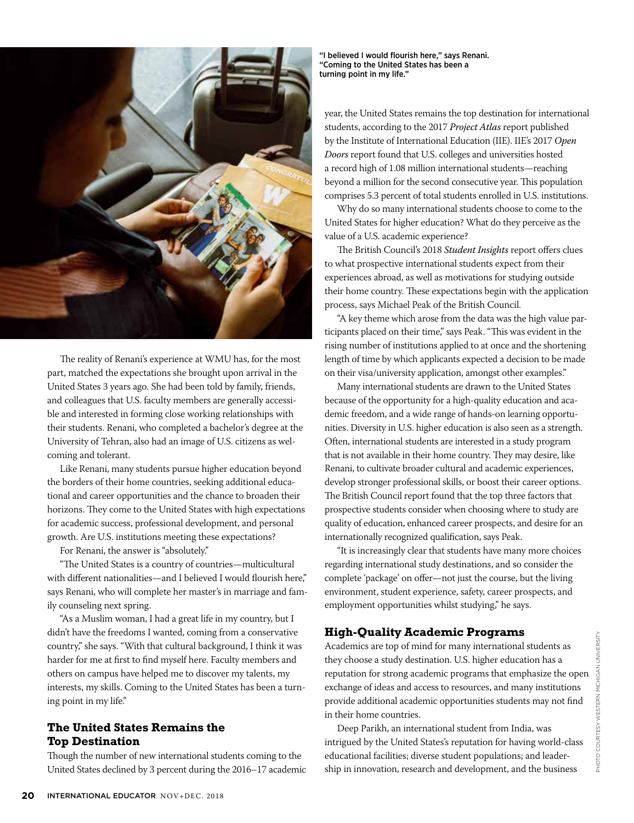

The reality of Renani's experience at WMU has, for the most part, matched the expectations she brought upon arrival in the United States 3 years ago. She had been told by family, friends, and colleagues that U.S. faculty members are generally accessible and interested in forming close working relationships with their students. Renani, who completed a bachelor's degree at the University of Tehran, also had an image of U.S. citizens as welcoming and tolerant.

Like Renani, many students pursue higher education beyond the borders of their home countries, seeking additional educational and career opportunities and the chance to broaden their horizons. They come to the United States with high expectations for academic success, professional development, and personal growth. Are U.S. institutions meeting these expectations?

For Renani, the answer is "absolutely."

"The United States is a country of countries—multicultural with different nationalities—and I believed I would flourish here," says Renani, who will complete her master's in marriage and family counseling next spring.

"As a Muslim woman, I had a great life in my country, but I didn't have the freedoms I wanted, coming from a conservative country," she says. "With that cultural background, I think it was harder for me at first to find myself here. Faculty members and others on campus have helped me to discover my talents, my interests, my skills. Coming to the United States has been a turning point in my life."

# **The United States Remains the Top Destination**

Though the number of new international students coming to the United States declined by 3 percent during the 2016–17 academic

"I believed I would flourish here," says Renani. "Coming to the United States has been a turning point in my life."

year, the United States remains the top destination for international students, according to the 2017 *Project Atlas* report published by the Institute of International Education (IIE). IIE's 2017 *Open Doors* report found that U.S. colleges and universities hosted a record high of 1.08 million international students—reaching beyond a million for the second consecutive year. This population comprises 5.3 percent of total students enrolled in U.S. institutions.

Why do so many international students choose to come to the United States for higher education? What do they perceive as the value of a U.S. academic experience?

The British Council's 2018 *Student Insights* report offers clues to what prospective international students expect from their experiences abroad, as well as motivations for studying outside their home country. These expectations begin with the application process, says Michael Peak of the British Council.

"A key theme which arose from the data was the high value participants placed on their time," says Peak. "This was evident in the rising number of institutions applied to at once and the shortening length of time by which applicants expected a decision to be made on their visa/university application, amongst other examples."

Many international students are drawn to the United States because of the opportunity for a high-quality education and academic freedom, and a wide range of hands-on learning opportunities. Diversity in U.S. higher education is also seen as a strength. Often, international students are interested in a study program that is not available in their home country. They may desire, like Renani, to cultivate broader cultural and academic experiences, develop stronger professional skills, or boost their career options. The British Council report found that the top three factors that prospective students consider when choosing where to study are quality of education, enhanced career prospects, and desire for an internationally recognized qualification, says Peak.

"It is increasingly clear that students have many more choices regarding international study destinations, and so consider the complete 'package' on offer—not just the course, but the living environment, student experience, safety, career prospects, and employment opportunities whilst studying," he says.

# **High-Quality Academic Programs**

Academics are top of mind for many international students as they choose a study destination. U.S. higher education has a reputation for strong academic programs that emphasize the open exchange of ideas and access to resources, and many institutions provide additional academic opportunities students may not find in their home countries.

Deep Parikh, an international student from India, was intrigued by the United States's reputation for having world-class educational facilities; diverse student populations; and leadership in innovation, research and development, and the business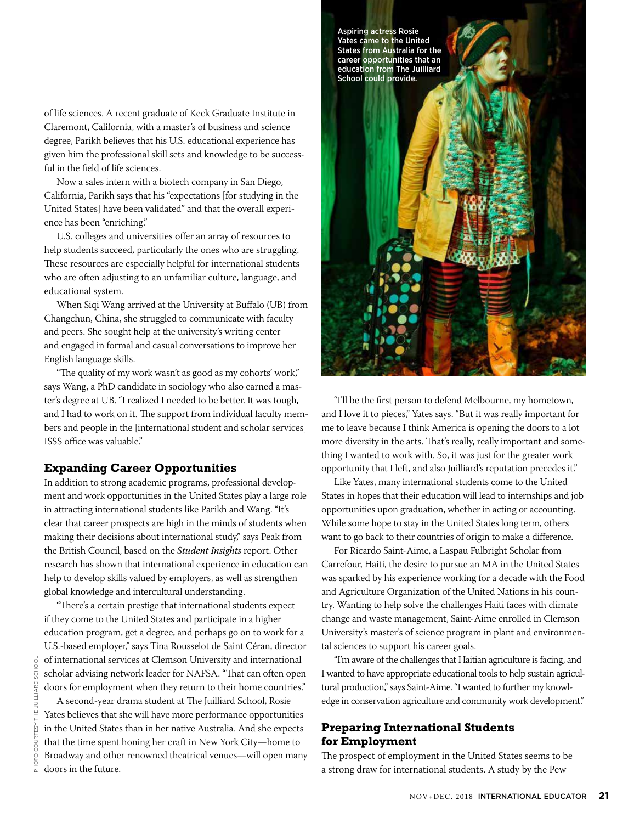of life sciences. A recent graduate of Keck Graduate Institute in Claremont, California, with a master's of business and science degree, Parikh believes that his U.S. educational experience has given him the professional skill sets and knowledge to be successful in the field of life sciences.

Now a sales intern with a biotech company in San Diego, California, Parikh says that his "expectations [for studying in the United States] have been validated" and that the overall experience has been "enriching."

U.S. colleges and universities offer an array of resources to help students succeed, particularly the ones who are struggling. These resources are especially helpful for international students who are often adjusting to an unfamiliar culture, language, and educational system.

When Siqi Wang arrived at the University at Buffalo (UB) from Changchun, China, she struggled to communicate with faculty and peers. She sought help at the university's writing center and engaged in formal and casual conversations to improve her English language skills.

"The quality of my work wasn't as good as my cohorts' work," says Wang, a PhD candidate in sociology who also earned a master's degree at UB. "I realized I needed to be better. It was tough, and I had to work on it. The support from individual faculty members and people in the [international student and scholar services] ISSS office was valuable."

# **Expanding Career Opportunities**

In addition to strong academic programs, professional development and work opportunities in the United States play a large role in attracting international students like Parikh and Wang. "It's clear that career prospects are high in the minds of students when making their decisions about international study," says Peak from the British Council, based on the *Student Insights* report. Other research has shown that international experience in education can help to develop skills valued by employers, as well as strengthen global knowledge and intercultural understanding.

"There's a certain prestige that international students expect if they come to the United States and participate in a higher education program, get a degree, and perhaps go on to work for a U.S.-based employer," says Tina Rousselot de Saint Céran, director of international services at Clemson University and international scholar advising network leader for NAFSA. "That can often open doors for employment when they return to their home countries."

A second-year drama student at The Juilliard School, Rosie Yates believes that she will have more performance opportunities in the United States than in her native Australia. And she expects that the time spent honing her craft in New York City—home to Broadway and other renowned theatrical venues—will open many doors in the future.



"I'll be the first person to defend Melbourne, my hometown, and I love it to pieces," Yates says. "But it was really important for me to leave because I think America is opening the doors to a lot more diversity in the arts. That's really, really important and something I wanted to work with. So, it was just for the greater work opportunity that I left, and also Juilliard's reputation precedes it."

Like Yates, many international students come to the United States in hopes that their education will lead to internships and job opportunities upon graduation, whether in acting or accounting. While some hope to stay in the United States long term, others want to go back to their countries of origin to make a difference.

For Ricardo Saint-Aime, a Laspau Fulbright Scholar from Carrefour, Haiti, the desire to pursue an MA in the United States was sparked by his experience working for a decade with the Food and Agriculture Organization of the United Nations in his country. Wanting to help solve the challenges Haiti faces with climate change and waste management, Saint-Aime enrolled in Clemson University's master's of science program in plant and environmental sciences to support his career goals.

"I'm aware of the challenges that Haitian agriculture is facing, and I wanted to have appropriate educational tools to help sustain agricultural production," says Saint-Aime. "I wanted to further my knowledge in conservation agriculture and community work development."

# **Preparing International Students for Employment**

The prospect of employment in the United States seems to be a strong draw for international students. A study by the Pew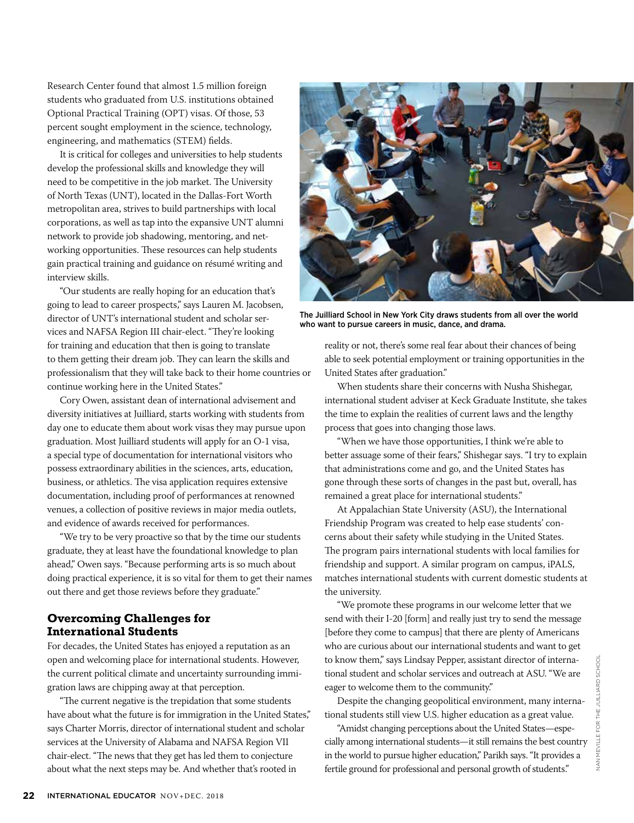Research Center found that almost 1.5 million foreign students who graduated from U.S. institutions obtained Optional Practical Training (OPT) visas. Of those, 53 percent sought employment in the science, technology, engineering, and mathematics (STEM) fields.

It is critical for colleges and universities to help students develop the professional skills and knowledge they will need to be competitive in the job market. The University of North Texas (UNT), located in the Dallas-Fort Worth metropolitan area, strives to build partnerships with local corporations, as well as tap into the expansive UNT alumni network to provide job shadowing, mentoring, and networking opportunities. These resources can help students gain practical training and guidance on résumé writing and interview skills.

"Our students are really hoping for an education that's going to lead to career prospects," says Lauren M. Jacobsen, director of UNT's international student and scholar services and NAFSA Region III chair-elect. "They're looking for training and education that then is going to translate to them getting their dream job. They can learn the skills and professionalism that they will take back to their home countries or continue working here in the United States."

Cory Owen, assistant dean of international advisement and diversity initiatives at Juilliard, starts working with students from day one to educate them about work visas they may pursue upon graduation. Most Juilliard students will apply for an O-1 visa, a special type of documentation for international visitors who possess extraordinary abilities in the sciences, arts, education, business, or athletics. The visa application requires extensive documentation, including proof of performances at renowned venues, a collection of positive reviews in major media outlets, and evidence of awards received for performances.

"We try to be very proactive so that by the time our students graduate, they at least have the foundational knowledge to plan ahead," Owen says. "Because performing arts is so much about doing practical experience, it is so vital for them to get their names out there and get those reviews before they graduate."

# **Overcoming Challenges for International Students**

For decades, the United States has enjoyed a reputation as an open and welcoming place for international students. However, the current political climate and uncertainty surrounding immigration laws are chipping away at that perception.

"The current negative is the trepidation that some students have about what the future is for immigration in the United States," says Charter Morris, director of international student and scholar services at the University of Alabama and NAFSA Region VII chair-elect. "The news that they get has led them to conjecture about what the next steps may be. And whether that's rooted in



The Juilliard School in New York City draws students from all over the world who want to pursue careers in music, dance, and drama.

reality or not, there's some real fear about their chances of being able to seek potential employment or training opportunities in the United States after graduation."

When students share their concerns with Nusha Shishegar, international student adviser at Keck Graduate Institute, she takes the time to explain the realities of current laws and the lengthy process that goes into changing those laws.

"When we have those opportunities, I think we're able to better assuage some of their fears," Shishegar says. "I try to explain that administrations come and go, and the United States has gone through these sorts of changes in the past but, overall, has remained a great place for international students."

At Appalachian State University (ASU), the International Friendship Program was created to help ease students' concerns about their safety while studying in the United States. The program pairs international students with local families for friendship and support. A similar program on campus, iPALS, matches international students with current domestic students at the university.

"We promote these programs in our welcome letter that we send with their I-20 [form] and really just try to send the message [before they come to campus] that there are plenty of Americans who are curious about our international students and want to get to know them," says Lindsay Pepper, assistant director of international student and scholar services and outreach at ASU. "We are eager to welcome them to the community."

Despite the changing geopolitical environment, many international students still view U.S. higher education as a great value.

"Amidst changing perceptions about the United States—especially among international students—it still remains the best country in the world to pursue higher education," Parikh says. "It provides a fertile ground for professional and personal growth of students."